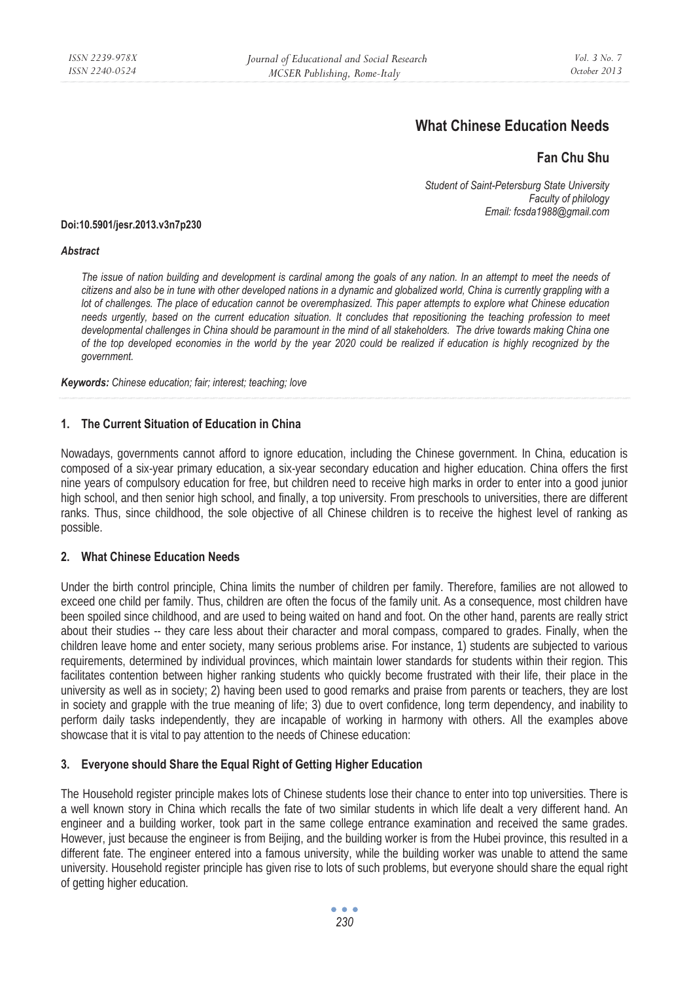# **What Chinese Education Needs**

# **Fan Chu Shu**

*Student of Saint-Petersburg State University Faculty of philology Email: fcsda1988@gmail.com* 

#### **Doi:10.5901/jesr.2013.v3n7p230**

#### *Abstract*

The issue of nation building and development is cardinal among the goals of any nation. In an attempt to meet the needs of *citizens and also be in tune with other developed nations in a dynamic and globalized world, China is currently grappling with a lot of challenges. The place of education cannot be overemphasized. This paper attempts to explore what Chinese education needs urgently, based on the current education situation. It concludes that repositioning the teaching profession to meet* developmental challenges in China should be paramount in the mind of all stakeholders. The drive towards making China one *of the top developed economies in the world by the year 2020 could be realized if education is highly recognized by the government.* 

*Keywords: Chinese education; fair; interest; teaching; love* 

## **1. The Current Situation of Education in China**

Nowadays, governments cannot afford to ignore education, including the Chinese government. In China, education is composed of a six-year primary education, a six-year secondary education and higher education. China offers the first nine years of compulsory education for free, but children need to receive high marks in order to enter into a good junior high school, and then senior high school, and finally, a top university. From preschools to universities, there are different ranks. Thus, since childhood, the sole objective of all Chinese children is to receive the highest level of ranking as possible.

#### **2. What Chinese Education Needs**

Under the birth control principle, China limits the number of children per family. Therefore, families are not allowed to exceed one child per family. Thus, children are often the focus of the family unit. As a consequence, most children have been spoiled since childhood, and are used to being waited on hand and foot. On the other hand, parents are really strict about their studies -- they care less about their character and moral compass, compared to grades. Finally, when the children leave home and enter society, many serious problems arise. For instance, 1) students are subjected to various requirements, determined by individual provinces, which maintain lower standards for students within their region. This facilitates contention between higher ranking students who quickly become frustrated with their life, their place in the university as well as in society; 2) having been used to good remarks and praise from parents or teachers, they are lost in society and grapple with the true meaning of life; 3) due to overt confidence, long term dependency, and inability to perform daily tasks independently, they are incapable of working in harmony with others. All the examples above showcase that it is vital to pay attention to the needs of Chinese education:

# **3. Everyone should Share the Equal Right of Getting Higher Education**

The Household register principle makes lots of Chinese students lose their chance to enter into top universities. There is a well known story in China which recalls the fate of two similar students in which life dealt a very different hand. An engineer and a building worker, took part in the same college entrance examination and received the same grades. However, just because the engineer is from Beijing, and the building worker is from the Hubei province, this resulted in a different fate. The engineer entered into a famous university, while the building worker was unable to attend the same university. Household register principle has given rise to lots of such problems, but everyone should share the equal right of getting higher education.